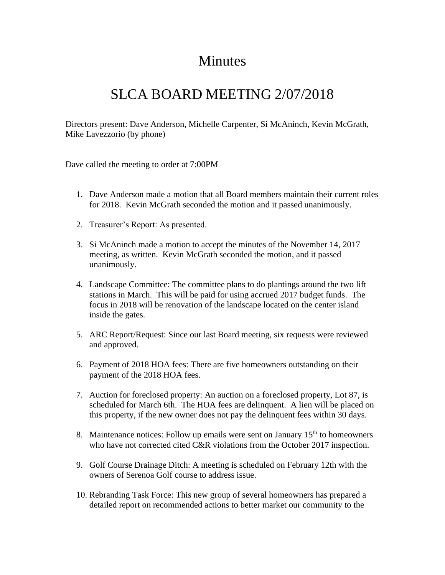## Minutes

## SLCA BOARD MEETING 2/07/2018

Directors present: Dave Anderson, Michelle Carpenter, Si McAninch, Kevin McGrath, Mike Lavezzorio (by phone)

Dave called the meeting to order at 7:00PM

- 1. Dave Anderson made a motion that all Board members maintain their current roles for 2018. Kevin McGrath seconded the motion and it passed unanimously.
- 2. Treasurer's Report: As presented.
- 3. Si McAninch made a motion to accept the minutes of the November 14, 2017 meeting, as written. Kevin McGrath seconded the motion, and it passed unanimously.
- 4. Landscape Committee: The committee plans to do plantings around the two lift stations in March. This will be paid for using accrued 2017 budget funds. The focus in 2018 will be renovation of the landscape located on the center island inside the gates.
- 5. ARC Report/Request: Since our last Board meeting, six requests were reviewed and approved.
- 6. Payment of 2018 HOA fees: There are five homeowners outstanding on their payment of the 2018 HOA fees.
- 7. Auction for foreclosed property: An auction on a foreclosed property, Lot 87, is scheduled for March 6th. The HOA fees are delinquent. A lien will be placed on this property, if the new owner does not pay the delinquent fees within 30 days.
- 8. Maintenance notices: Follow up emails were sent on January  $15<sup>th</sup>$  to homeowners who have not corrected cited C&R violations from the October 2017 inspection.
- 9. Golf Course Drainage Ditch: A meeting is scheduled on February 12th with the owners of Serenoa Golf course to address issue.
- 10. Rebranding Task Force: This new group of several homeowners has prepared a detailed report on recommended actions to better market our community to the